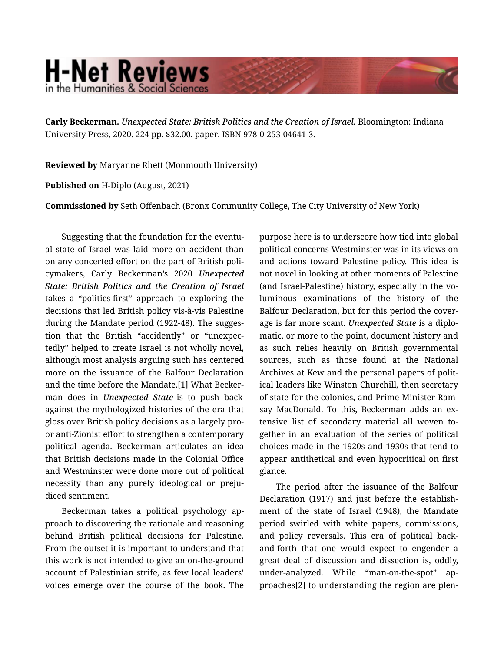## **H-Net Reviews** in the Humanities & Social Science

Carly Beckerman. *Unexpected State: British Politics and the Creation of Israel.* Bloomington: Indiana University Press, 2020. 224 pp. \$32.00, paper, ISBN 978-0-253-04641-3.

Reviewed by Maryanne Rhett (Monmouth University)

Published on H-Diplo (August, 2021)

Commissioned by Seth Offenbach (Bronx Community College, The City University of New York)

Suggesting that the foundation for the eventu‐ al state of Israel was laid more on accident than on any concerted effort on the part of British poli‐ cymakers, Carly Beckerman's 2020 *Unexpected State: British Politics and the Creation of Israel* takes a "politics-first" approach to exploring the decisions that led British policy vis-à-vis Palestine during the Mandate period (1922-48). The sugges‐ tion that the British "accidently" or "unexpec‐ tedly" helped to create Israel is not wholly novel, although most analysis arguing such has centered more on the issuance of the Balfour Declaration and the time before the Mandate.[1] What Becker‐ man does in *Unexpected State* is to push back against the mythologized histories of the era that gloss over British policy decisions as a largely proor anti-Zionist effort to strengthen a contemporary political agenda. Beckerman articulates an idea that British decisions made in the Colonial Office and Westminster were done more out of political necessity than any purely ideological or preju‐ diced sentiment.

Beckerman takes a political psychology ap‐ proach to discovering the rationale and reasoning behind British political decisions for Palestine. From the outset it is important to understand that this work is not intended to give an on-the-ground account of Palestinian strife, as few local leaders' voices emerge over the course of the book. The purpose here is to underscore how tied into global political concerns Westminster was in its views on and actions toward Palestine policy. This idea is not novel in looking at other moments of Palestine (and Israel-Palestine) history, especially in the vo‐ luminous examinations of the history of the Balfour Declaration, but for this period the cover‐ age is far more scant. *Unexpected State* is a diplo‐ matic, or more to the point, document history and as such relies heavily on British governmental sources, such as those found at the National Archives at Kew and the personal papers of polit‐ ical leaders like Winston Churchill, then secretary of state for the colonies, and Prime Minister Ram‐ say MacDonald. To this, Beckerman adds an extensive list of secondary material all woven to‐ gether in an evaluation of the series of political choices made in the 1920s and 1930s that tend to appear antithetical and even hypocritical on first glance.

The period after the issuance of the Balfour Declaration (1917) and just before the establish‐ ment of the state of Israel (1948), the Mandate period swirled with white papers, commissions, and policy reversals. This era of political backand-forth that one would expect to engender a great deal of discussion and dissection is, oddly, under-analyzed. While "man-on-the-spot" approaches[2] to understanding the region are plen‐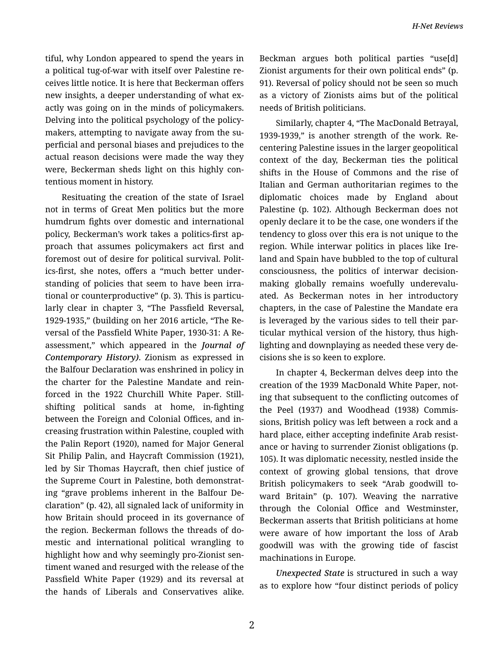tiful, why London appeared to spend the years in a political tug-of-war with itself over Palestine re‐ ceives little notice. It is here that Beckerman offers new insights, a deeper understanding of what exactly was going on in the minds of policymakers. Delving into the political psychology of the policy‐ makers, attempting to navigate away from the su‐ perficial and personal biases and prejudices to the actual reason decisions were made the way they were, Beckerman sheds light on this highly con‐ tentious moment in history.

Resituating the creation of the state of Israel not in terms of Great Men politics but the more humdrum fights over domestic and international policy, Beckerman's work takes a politics-first ap‐ proach that assumes policymakers act first and foremost out of desire for political survival. Polit‐ ics-first, she notes, offers a "much better under‐ standing of policies that seem to have been irra‐ tional or counterproductive" (p. 3). This is particu‐ larly clear in chapter 3, "The Passfield Reversal, 1929-1935," (building on her 2016 article, "The Re‐ versal of the Passfield White Paper, 1930-31: A Re‐ assessment," which appeared in the *Journal of Contemporary History)*. Zionism as expressed in the Balfour Declaration was enshrined in policy in the charter for the Palestine Mandate and rein‐ forced in the 1922 Churchill White Paper. Stillshifting political sands at home, in-fighting between the Foreign and Colonial Offices, and in‐ creasing frustration within Palestine, coupled with the Palin Report (1920), named for Major General Sit Philip Palin, and Haycraft Commission (1921), led by Sir Thomas Haycraft, then chief justice of the Supreme Court in Palestine, both demonstrat‐ ing "grave problems inherent in the Balfour De‐ claration" (p. 42), all signaled lack of uniformity in how Britain should proceed in its governance of the region. Beckerman follows the threads of do‐ mestic and international political wrangling to highlight how and why seemingly pro-Zionist sen‐ timent waned and resurged with the release of the Passfield White Paper (1929) and its reversal at the hands of Liberals and Conservatives alike.

Beckman argues both political parties "use[d] Zionist arguments for their own political ends" (p. 91). Reversal of policy should not be seen so much as a victory of Zionists aims but of the political needs of British politicians.

Similarly, chapter 4, "The MacDonald Betrayal, 1939-1939," is another strength of the work. Re‐ centering Palestine issues in the larger geopolitical context of the day, Beckerman ties the political shifts in the House of Commons and the rise of Italian and German authoritarian regimes to the diplomatic choices made by England about Palestine (p. 102). Although Beckerman does not openly declare it to be the case, one wonders if the tendency to gloss over this era is not unique to the region. While interwar politics in places like Ire‐ land and Spain have bubbled to the top of cultural consciousness, the politics of interwar decisionmaking globally remains woefully underevaluated. As Beckerman notes in her introductory chapters, in the case of Palestine the Mandate era is leveraged by the various sides to tell their par‐ ticular mythical version of the history, thus high‐ lighting and downplaying as needed these very de‐ cisions she is so keen to explore.

In chapter 4, Beckerman delves deep into the creation of the 1939 MacDonald White Paper, not‐ ing that subsequent to the conflicting outcomes of the Peel (1937) and Woodhead (1938) Commis‐ sions, British policy was left between a rock and a hard place, either accepting indefinite Arab resist‐ ance or having to surrender Zionist obligations (p. 105). It was diplomatic necessity, nestled inside the context of growing global tensions, that drove British policymakers to seek "Arab goodwill to‐ ward Britain" (p. 107). Weaving the narrative through the Colonial Office and Westminster, Beckerman asserts that British politicians at home were aware of how important the loss of Arab goodwill was with the growing tide of fascist machinations in Europe.

*Unexpected State* is structured in such a way as to explore how "four distinct periods of policy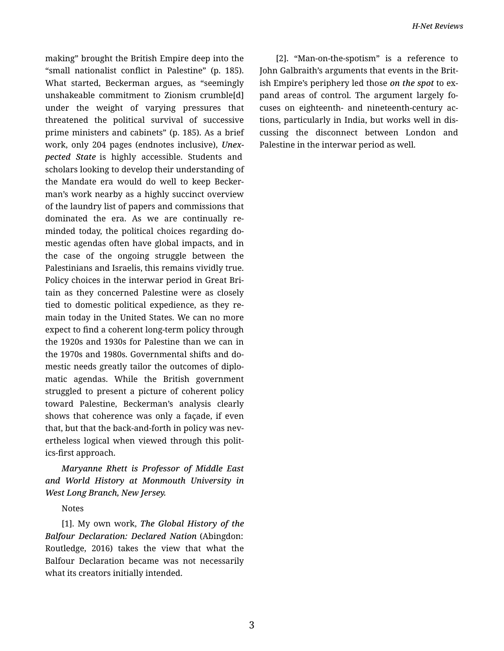making" brought the British Empire deep into the "small nationalist conflict in Palestine" (p. 185). What started, Beckerman argues, as "seemingly unshakeable commitment to Zionism crumble[d] under the weight of varying pressures that threatened the political survival of successive prime ministers and cabinets" (p. 185). As a brief work, only 204 pages (endnotes inclusive), *Unex‐ pected State* is highly accessible. Students and scholars looking to develop their understanding of the Mandate era would do well to keep Becker‐ man's work nearby as a highly succinct overview of the laundry list of papers and commissions that dominated the era. As we are continually re‐ minded today, the political choices regarding do‐ mestic agendas often have global impacts, and in the case of the ongoing struggle between the Palestinians and Israelis, this remains vividly true. Policy choices in the interwar period in Great Bri‐ tain as they concerned Palestine were as closely tied to domestic political expedience, as they re‐ main today in the United States. We can no more expect to find a coherent long-term policy through the 1920s and 1930s for Palestine than we can in the 1970s and 1980s. Governmental shifts and do‐ mestic needs greatly tailor the outcomes of diplo‐ matic agendas. While the British government struggled to present a picture of coherent policy toward Palestine, Beckerman's analysis clearly shows that coherence was only a façade, if even that, but that the back-and-forth in policy was nev‐ ertheless logical when viewed through this polit‐ ics-first approach.

*Maryanne Rhett is Professor of Middle East and World History at Monmouth University in West Long Branch, New Jersey.*

Notes

[1]. My own work, *The Global History of the Balfour Declaration: Declared Nation* (Abingdon: Routledge, 2016) takes the view that what the Balfour Declaration became was not necessarily what its creators initially intended.

[2]. "Man-on-the-spotism" is a reference to John Galbraith's arguments that events in the Brit‐ ish Empire's periphery led those *on the spot* to ex‐ pand areas of control. The argument largely fo‐ cuses on eighteenth- and nineteenth-century ac‐ tions, particularly in India, but works well in dis‐ cussing the disconnect between London and Palestine in the interwar period as well.